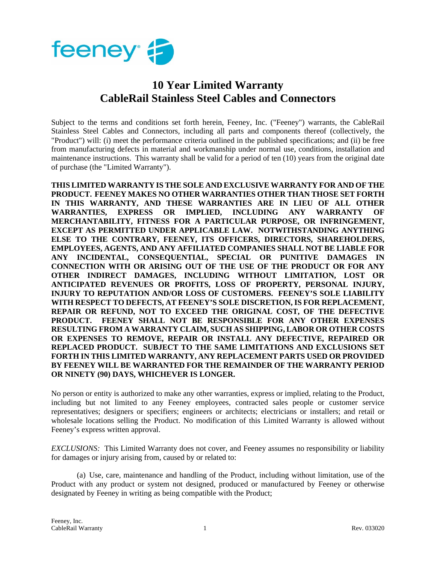

## **10 Year Limited Warranty CableRail Stainless Steel Cables and Connectors**

Subject to the terms and conditions set forth herein, Feeney, Inc. ("Feeney") warrants, the CableRail Stainless Steel Cables and Connectors, including all parts and components thereof (collectively, the "Product") will: (i) meet the performance criteria outlined in the published specifications; and (ii) be free from manufacturing defects in material and workmanship under normal use, conditions, installation and maintenance instructions. This warranty shall be valid for a period of ten (10) years from the original date of purchase (the "Limited Warranty").

**THIS LIMITED WARRANTY IS THE SOLE AND EXCLUSIVE WARRANTY FOR AND OF THE PRODUCT. FEENEY MAKES NO OTHER WARRANTIES OTHER THAN THOSE SET FORTH IN THIS WARRANTY, AND THESE WARRANTIES ARE IN LIEU OF ALL OTHER WARRANTIES, EXPRESS OR IMPLIED, INCLUDING ANY WARRANTY OF MERCHANTABILITY, FITNESS FOR A PARTICULAR PURPOSE, OR INFRINGEMENT, EXCEPT AS PERMITTED UNDER APPLICABLE LAW. NOTWITHSTANDING ANYTHING ELSE TO THE CONTRARY, FEENEY, ITS OFFICERS, DIRECTORS, SHAREHOLDERS, EMPLOYEES, AGENTS, AND ANY AFFILIATED COMPANIES SHALL NOT BE LIABLE FOR ANY INCIDENTAL, CONSEQUENTIAL, SPECIAL OR PUNITIVE DAMAGES IN CONNECTION WITH OR ARISING OUT OF THE USE OF THE PRODUCT OR FOR ANY OTHER INDIRECT DAMAGES, INCLUDING WITHOUT LIMITATION, LOST OR ANTICIPATED REVENUES OR PROFITS, LOSS OF PROPERTY, PERSONAL INJURY, INJURY TO REPUTATION AND/OR LOSS OF CUSTOMERS. FEENEY'S SOLE LIABILITY WITH RESPECT TO DEFECTS, AT FEENEY'S SOLE DISCRETION, IS FOR REPLACEMENT, REPAIR OR REFUND, NOT TO EXCEED THE ORIGINAL COST, OF THE DEFECTIVE PRODUCT. FEENEY SHALL NOT BE RESPONSIBLE FOR ANY OTHER EXPENSES RESULTING FROM A WARRANTY CLAIM, SUCH AS SHIPPING, LABOR OR OTHER COSTS OR EXPENSES TO REMOVE, REPAIR OR INSTALL ANY DEFECTIVE, REPAIRED OR REPLACED PRODUCT. SUBJECT TO THE SAME LIMITATIONS AND EXCLUSIONS SET FORTH IN THIS LIMITED WARRANTY, ANY REPLACEMENT PARTS USED OR PROVIDED BY FEENEY WILL BE WARRANTED FOR THE REMAINDER OF THE WARRANTY PERIOD OR NINETY (90) DAYS, WHICHEVER IS LONGER.** 

No person or entity is authorized to make any other warranties, express or implied, relating to the Product, including but not limited to any Feeney employees, contracted sales people or customer service representatives; designers or specifiers; engineers or architects; electricians or installers; and retail or wholesale locations selling the Product. No modification of this Limited Warranty is allowed without Feeney's express written approval.

*EXCLUSIONS:* This Limited Warranty does not cover, and Feeney assumes no responsibility or liability for damages or injury arising from, caused by or related to:

(a) Use, care, maintenance and handling of the Product, including without limitation, use of the Product with any product or system not designed, produced or manufactured by Feeney or otherwise designated by Feeney in writing as being compatible with the Product;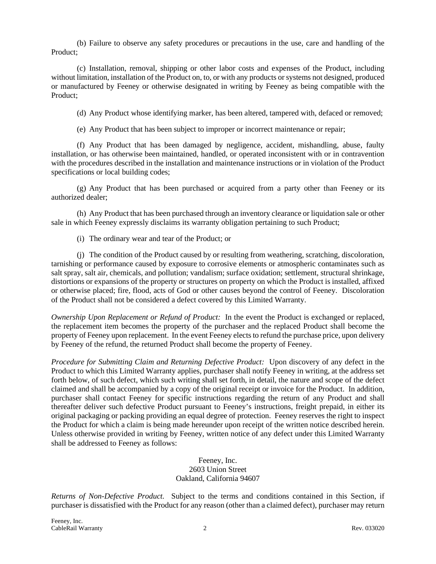(b) Failure to observe any safety procedures or precautions in the use, care and handling of the Product;

(c) Installation, removal, shipping or other labor costs and expenses of the Product, including without limitation, installation of the Product on, to, or with any products or systems not designed, produced or manufactured by Feeney or otherwise designated in writing by Feeney as being compatible with the Product;

(d) Any Product whose identifying marker, has been altered, tampered with, defaced or removed;

(e) Any Product that has been subject to improper or incorrect maintenance or repair;

(f) Any Product that has been damaged by negligence, accident, mishandling, abuse, faulty installation, or has otherwise been maintained, handled, or operated inconsistent with or in contravention with the procedures described in the installation and maintenance instructions or in violation of the Product specifications or local building codes;

(g) Any Product that has been purchased or acquired from a party other than Feeney or its authorized dealer;

(h) Any Product that has been purchased through an inventory clearance or liquidation sale or other sale in which Feeney expressly disclaims its warranty obligation pertaining to such Product;

(i) The ordinary wear and tear of the Product; or

(j) The condition of the Product caused by or resulting from weathering, scratching, discoloration, tarnishing or performance caused by exposure to corrosive elements or atmospheric contaminates such as salt spray, salt air, chemicals, and pollution; vandalism; surface oxidation; settlement, structural shrinkage, distortions or expansions of the property or structures on property on which the Product is installed, affixed or otherwise placed; fire, flood, acts of God or other causes beyond the control of Feeney. Discoloration of the Product shall not be considered a defect covered by this Limited Warranty.

*Ownership Upon Replacement or Refund of Product:* In the event the Product is exchanged or replaced, the replacement item becomes the property of the purchaser and the replaced Product shall become the property of Feeney upon replacement. In the event Feeney elects to refund the purchase price, upon delivery by Feeney of the refund, the returned Product shall become the property of Feeney.

*Procedure for Submitting Claim and Returning Defective Product:* Upon discovery of any defect in the Product to which this Limited Warranty applies, purchaser shall notify Feeney in writing, at the address set forth below, of such defect, which such writing shall set forth, in detail, the nature and scope of the defect claimed and shall be accompanied by a copy of the original receipt or invoice for the Product. In addition, purchaser shall contact Feeney for specific instructions regarding the return of any Product and shall thereafter deliver such defective Product pursuant to Feeney's instructions, freight prepaid, in either its original packaging or packing providing an equal degree of protection. Feeney reserves the right to inspect the Product for which a claim is being made hereunder upon receipt of the written notice described herein. Unless otherwise provided in writing by Feeney, written notice of any defect under this Limited Warranty shall be addressed to Feeney as follows:

## Feeney, Inc. 2603 Union Street Oakland, California 94607

*Returns of Non-Defective Product.* Subject to the terms and conditions contained in this Section, if purchaser is dissatisfied with the Product for any reason (other than a claimed defect), purchaser may return